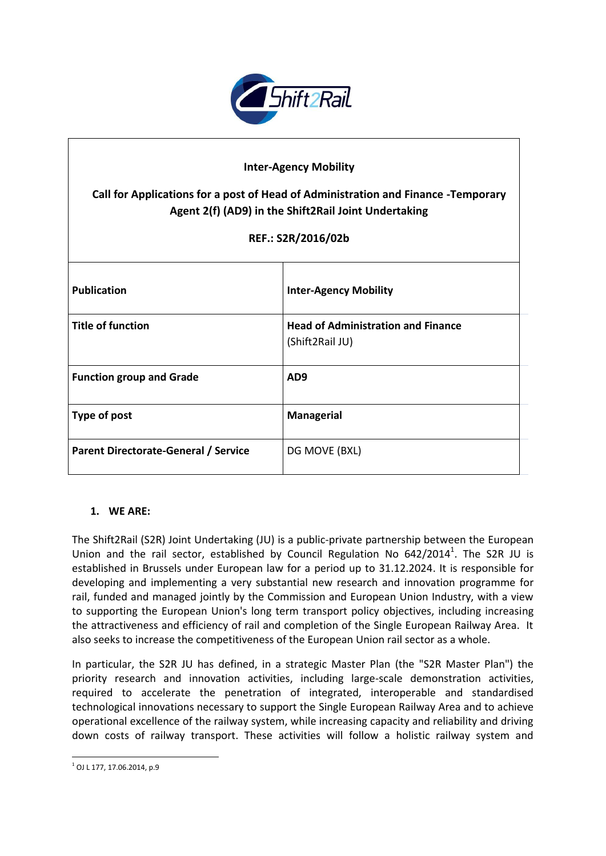

# **Inter-Agency Mobility**

# **Call for Applications for a post of Head of Administration and Finance -Temporary Agent 2(f) (AD9) in the Shift2Rail Joint Undertaking**

# **REF.: S2R/2016/02b**

| <b>Publication</b>                   | <b>Inter-Agency Mobility</b>                                 |
|--------------------------------------|--------------------------------------------------------------|
| <b>Title of function</b>             | <b>Head of Administration and Finance</b><br>(Shift2Rail JU) |
| <b>Function group and Grade</b>      | AD <sub>9</sub>                                              |
| Type of post                         | <b>Managerial</b>                                            |
| Parent Directorate-General / Service | DG MOVE (BXL)                                                |

### **1. WE ARE:**

The Shift2Rail (S2R) Joint Undertaking (JU) is a public-private partnership between the European Union and the rail sector, established by Council Regulation No  $642/2014^1$ . The S2R JU is established in Brussels under European law for a period up to 31.12.2024. It is responsible for developing and implementing a very substantial new research and innovation programme for rail, funded and managed jointly by the Commission and European Union Industry, with a view to supporting the European Union's long term transport policy objectives, including increasing the attractiveness and efficiency of rail and completion of the Single European Railway Area. It also seeks to increase the competitiveness of the European Union rail sector as a whole.

In particular, the S2R JU has defined, in a strategic Master Plan (the "S2R Master Plan") the priority research and innovation activities, including large-scale demonstration activities, required to accelerate the penetration of integrated, interoperable and standardised technological innovations necessary to support the Single European Railway Area and to achieve operational excellence of the railway system, while increasing capacity and reliability and driving down costs of railway transport. These activities will follow a holistic railway system and

**<sup>.</sup>**  $1$  OJ L 177, 17,06,2014, p.9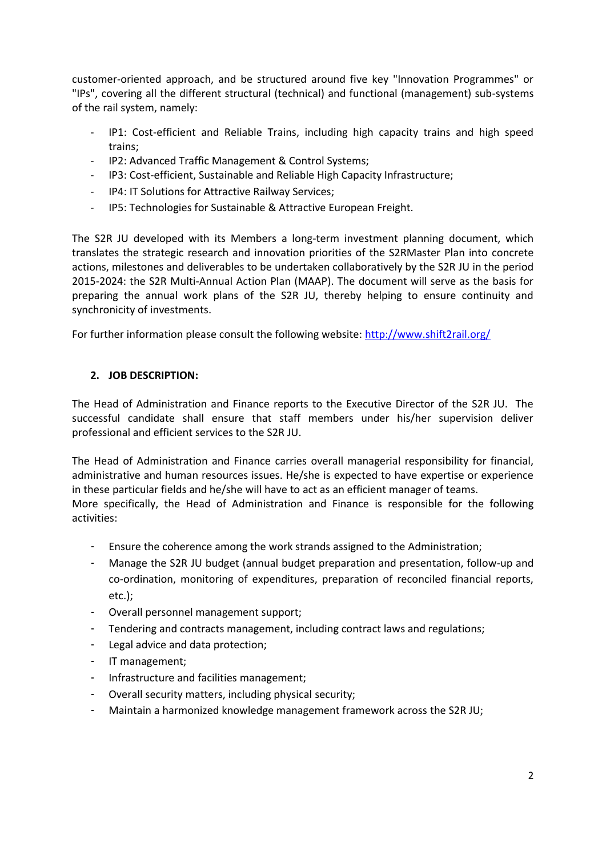customer-oriented approach, and be structured around five key "Innovation Programmes" or "IPs", covering all the different structural (technical) and functional (management) sub-systems of the rail system, namely:

- IP1: Cost-efficient and Reliable Trains, including high capacity trains and high speed trains;
- IP2: Advanced Traffic Management & Control Systems;
- IP3: Cost-efficient, Sustainable and Reliable High Capacity Infrastructure;
- IP4: IT Solutions for Attractive Railway Services;
- IP5: Technologies for Sustainable & Attractive European Freight.

The S2R JU developed with its Members a long-term investment planning document, which translates the strategic research and innovation priorities of the S2RMaster Plan into concrete actions, milestones and deliverables to be undertaken collaboratively by the S2R JU in the period 2015-2024: the S2R Multi-Annual Action Plan (MAAP). The document will serve as the basis for preparing the annual work plans of the S2R JU, thereby helping to ensure continuity and synchronicity of investments.

For further information please consult the following website:<http://www.shift2rail.org/>

# **2. JOB DESCRIPTION:**

The Head of Administration and Finance reports to the Executive Director of the S2R JU. The successful candidate shall ensure that staff members under his/her supervision deliver professional and efficient services to the S2R JU.

The Head of Administration and Finance carries overall managerial responsibility for financial, administrative and human resources issues. He/she is expected to have expertise or experience in these particular fields and he/she will have to act as an efficient manager of teams.

More specifically, the Head of Administration and Finance is responsible for the following activities:

- Ensure the coherence among the work strands assigned to the Administration;
- Manage the S2R JU budget (annual budget preparation and presentation, follow-up and co-ordination, monitoring of expenditures, preparation of reconciled financial reports, etc.);
- Overall personnel management support;
- Tendering and contracts management, including contract laws and regulations;
- Legal advice and data protection;
- IT management;
- Infrastructure and facilities management;
- Overall security matters, including physical security;
- Maintain a harmonized knowledge management framework across the S2R JU;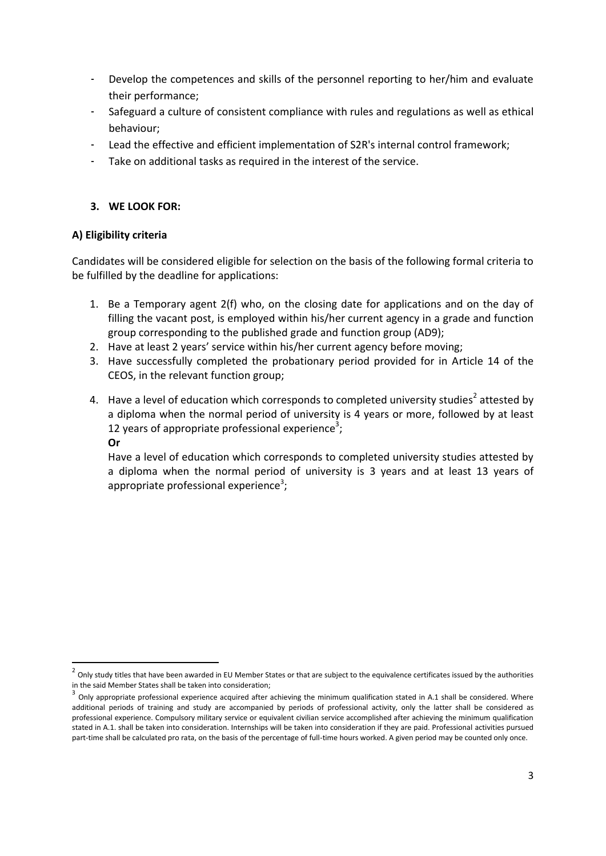- Develop the competences and skills of the personnel reporting to her/him and evaluate their performance;
- Safeguard a culture of consistent compliance with rules and regulations as well as ethical behaviour;
- Lead the effective and efficient implementation of S2R's internal control framework;
- Take on additional tasks as required in the interest of the service.

# **3. WE LOOK FOR:**

### **A) Eligibility criteria**

Candidates will be considered eligible for selection on the basis of the following formal criteria to be fulfilled by the deadline for applications:

- 1. Be a Temporary agent 2(f) who, on the closing date for applications and on the day of filling the vacant post, is employed within his/her current agency in a grade and function group corresponding to the published grade and function group (AD9);
- 2. Have at least 2 years' service within his/her current agency before moving;
- 3. Have successfully completed the probationary period provided for in Article 14 of the CEOS, in the relevant function group;
- 4. Have a level of education which corresponds to completed university studies<sup>2</sup> attested by a diploma when the normal period of university is 4 years or more, followed by at least 12 years of appropriate professional experience<sup>3</sup>;

#### **Or**

1

Have a level of education which corresponds to completed university studies attested by a diploma when the normal period of university is 3 years and at least 13 years of appropriate professional experience<sup>3</sup>;

 $^2$  Only study titles that have been awarded in EU Member States or that are subject to the equivalence certificates issued by the authorities in the said Member States shall be taken into consideration;

 $^3$  Only appropriate professional experience acquired after achieving the minimum qualification stated in A.1 shall be considered. Where additional periods of training and study are accompanied by periods of professional activity, only the latter shall be considered as professional experience. Compulsory military service or equivalent civilian service accomplished after achieving the minimum qualification stated in A.1. shall be taken into consideration. Internships will be taken into consideration if they are paid. Professional activities pursued part-time shall be calculated pro rata, on the basis of the percentage of full-time hours worked. A given period may be counted only once.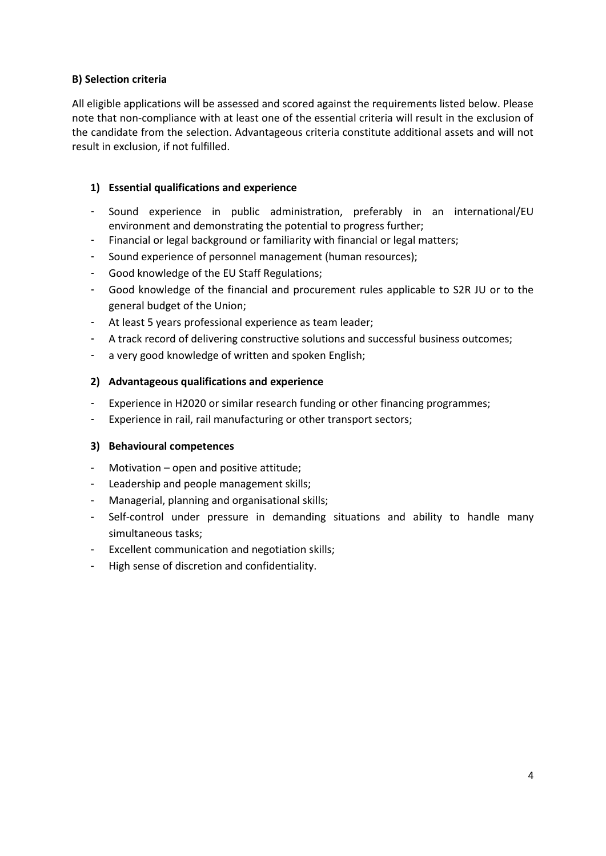# **B) Selection criteria**

All eligible applications will be assessed and scored against the requirements listed below. Please note that non-compliance with at least one of the essential criteria will result in the exclusion of the candidate from the selection. Advantageous criteria constitute additional assets and will not result in exclusion, if not fulfilled.

# **1) Essential qualifications and experience**

- Sound experience in public administration, preferably in an international/EU environment and demonstrating the potential to progress further;
- Financial or legal background or familiarity with financial or legal matters;
- Sound experience of personnel management (human resources);
- Good knowledge of the EU Staff Regulations;
- Good knowledge of the financial and procurement rules applicable to S2R JU or to the general budget of the Union;
- At least 5 years professional experience as team leader;
- A track record of delivering constructive solutions and successful business outcomes;
- a very good knowledge of written and spoken English;

# **2) Advantageous qualifications and experience**

- Experience in H2020 or similar research funding or other financing programmes;
- Experience in rail, rail manufacturing or other transport sectors;

### **3) Behavioural competences**

- Motivation open and positive attitude;
- Leadership and people management skills;
- Managerial, planning and organisational skills;
- Self-control under pressure in demanding situations and ability to handle many simultaneous tasks;
- Excellent communication and negotiation skills;
- High sense of discretion and confidentiality.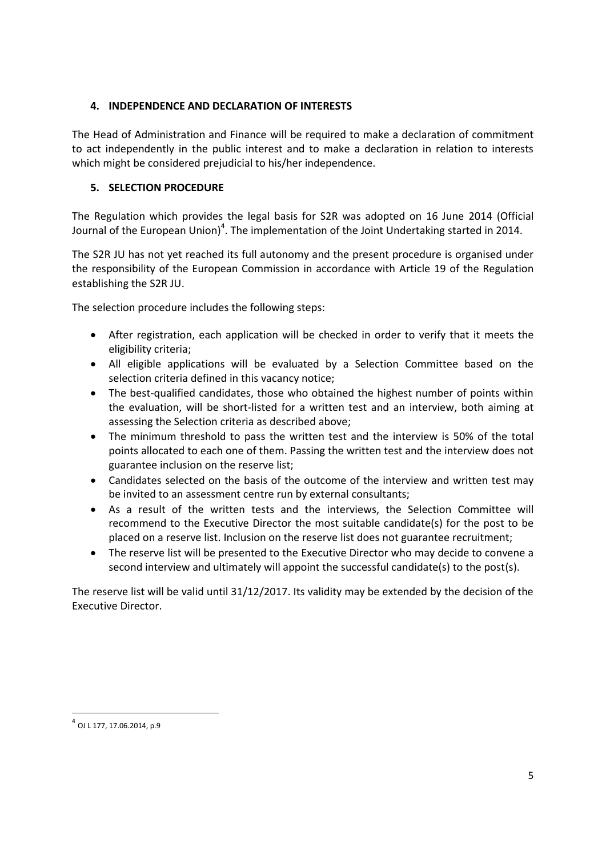# **4. INDEPENDENCE AND DECLARATION OF INTERESTS**

The Head of Administration and Finance will be required to make a declaration of commitment to act independently in the public interest and to make a declaration in relation to interests which might be considered prejudicial to his/her independence.

# **5. SELECTION PROCEDURE**

The Regulation which provides the legal basis for S2R was adopted on 16 June 2014 (Official Journal of the European Union)<sup>4</sup>. The implementation of the Joint Undertaking started in 2014.

The S2R JU has not yet reached its full autonomy and the present procedure is organised under the responsibility of the European Commission in accordance with Article 19 of the Regulation establishing the S2R JU.

The selection procedure includes the following steps:

- After registration, each application will be checked in order to verify that it meets the eligibility criteria;
- All eligible applications will be evaluated by a Selection Committee based on the selection criteria defined in this vacancy notice;
- The best-qualified candidates, those who obtained the highest number of points within the evaluation, will be short-listed for a written test and an interview, both aiming at assessing the Selection criteria as described above;
- The minimum threshold to pass the written test and the interview is 50% of the total points allocated to each one of them. Passing the written test and the interview does not guarantee inclusion on the reserve list;
- Candidates selected on the basis of the outcome of the interview and written test may be invited to an assessment centre run by external consultants;
- As a result of the written tests and the interviews, the Selection Committee will recommend to the Executive Director the most suitable candidate(s) for the post to be placed on a reserve list. Inclusion on the reserve list does not guarantee recruitment;
- The reserve list will be presented to the Executive Director who may decide to convene a second interview and ultimately will appoint the successful candidate(s) to the post(s).

The reserve list will be valid until 31/12/2017. Its validity may be extended by the decision of the Executive Director.

1

<sup>4</sup> OJ L 177, 17.06.2014, p.9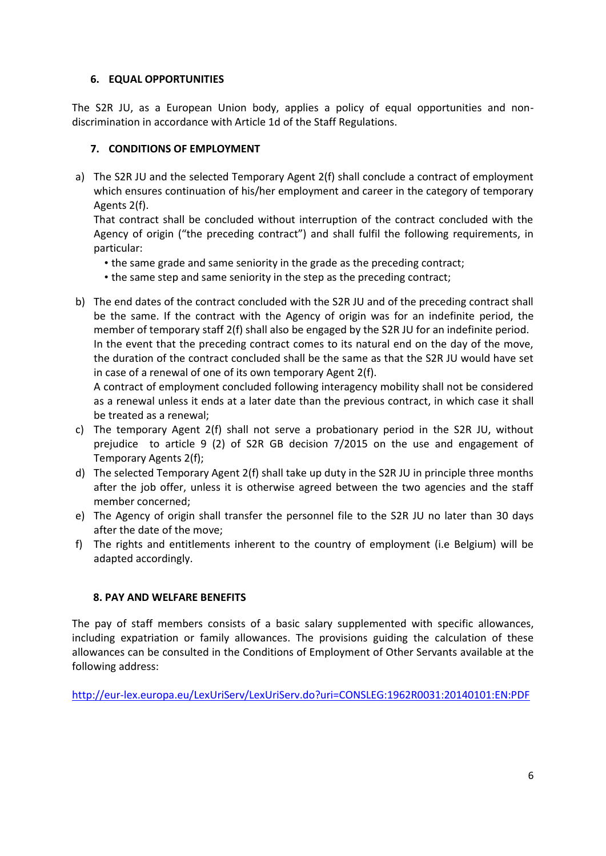# **6. EQUAL OPPORTUNITIES**

The S2R JU, as a European Union body, applies a policy of equal opportunities and nondiscrimination in accordance with Article 1d of the Staff Regulations.

# **7. CONDITIONS OF EMPLOYMENT**

a) The S2R JU and the selected Temporary Agent 2(f) shall conclude a contract of employment which ensures continuation of his/her employment and career in the category of temporary Agents 2(f).

That contract shall be concluded without interruption of the contract concluded with the Agency of origin ("the preceding contract") and shall fulfil the following requirements, in particular:

- the same grade and same seniority in the grade as the preceding contract;
- the same step and same seniority in the step as the preceding contract;
- b) The end dates of the contract concluded with the S2R JU and of the preceding contract shall be the same. If the contract with the Agency of origin was for an indefinite period, the member of temporary staff 2(f) shall also be engaged by the S2R JU for an indefinite period. In the event that the preceding contract comes to its natural end on the day of the move, the duration of the contract concluded shall be the same as that the S2R JU would have set in case of a renewal of one of its own temporary Agent 2(f).

A contract of employment concluded following interagency mobility shall not be considered as a renewal unless it ends at a later date than the previous contract, in which case it shall be treated as a renewal;

- c) The temporary Agent 2(f) shall not serve a probationary period in the S2R JU, without prejudice to article 9 (2) of S2R GB decision 7/2015 on the use and engagement of Temporary Agents 2(f);
- d) The selected Temporary Agent 2(f) shall take up duty in the S2R JU in principle three months after the job offer, unless it is otherwise agreed between the two agencies and the staff member concerned;
- e) The Agency of origin shall transfer the personnel file to the S2R JU no later than 30 days after the date of the move;
- f) The rights and entitlements inherent to the country of employment (i.e Belgium) will be adapted accordingly.

# **8. PAY AND WELFARE BENEFITS**

The pay of staff members consists of a basic salary supplemented with specific allowances, including expatriation or family allowances. The provisions guiding the calculation of these allowances can be consulted in the Conditions of Employment of Other Servants available at the following address:

<http://eur-lex.europa.eu/LexUriServ/LexUriServ.do?uri=CONSLEG:1962R0031:20140101:EN:PDF>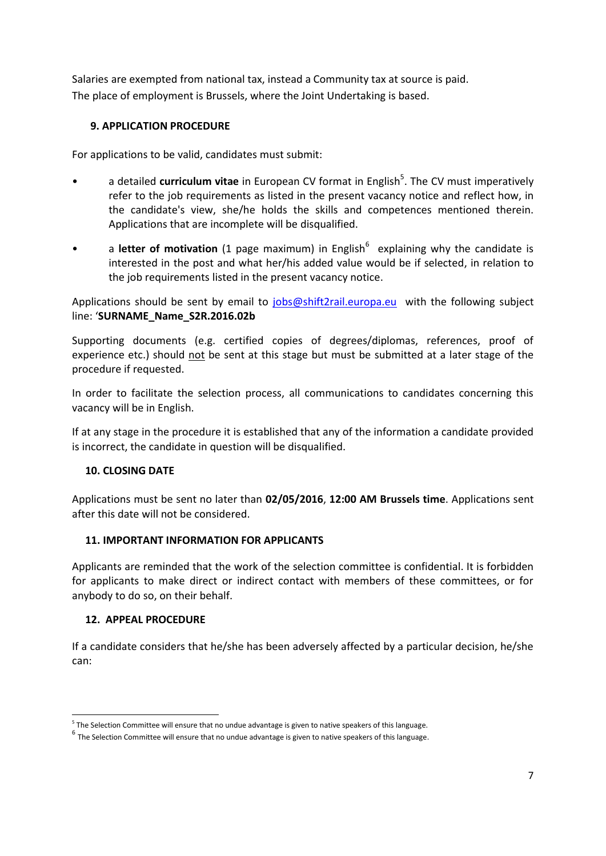Salaries are exempted from national tax, instead a Community tax at source is paid. The place of employment is Brussels, where the Joint Undertaking is based.

# **9. APPLICATION PROCEDURE**

For applications to be valid, candidates must submit:

- a detailed **curriculum vitae** in European CV format in English<sup>5</sup>. The CV must imperatively refer to the job requirements as listed in the present vacancy notice and reflect how, in the candidate's view, she/he holds the skills and competences mentioned therein. Applications that are incomplete will be disqualified.
- a letter of motivation (1 page maximum) in English<sup>6</sup> explaining why the candidate is interested in the post and what her/his added value would be if selected, in relation to the job requirements listed in the present vacancy notice.

Applications should be sent by email to [jobs@shift2rail.europa.eu](mailto:jobs@shift2rail.europa.eu) with the following subject line: '**SURNAME\_Name\_S2R.2016.02b**

Supporting documents (e.g. certified copies of degrees/diplomas, references, proof of experience etc.) should not be sent at this stage but must be submitted at a later stage of the procedure if requested.

In order to facilitate the selection process, all communications to candidates concerning this vacancy will be in English.

If at any stage in the procedure it is established that any of the information a candidate provided is incorrect, the candidate in question will be disqualified.

### **10. CLOSING DATE**

Applications must be sent no later than **02/05/2016**, **12:00 AM Brussels time**. Applications sent after this date will not be considered.

### **11. IMPORTANT INFORMATION FOR APPLICANTS**

Applicants are reminded that the work of the selection committee is confidential. It is forbidden for applicants to make direct or indirect contact with members of these committees, or for anybody to do so, on their behalf.

### **12. APPEAL PROCEDURE**

**.** 

If a candidate considers that he/she has been adversely affected by a particular decision, he/she can:

<sup>&</sup>lt;sup>5</sup> The Selection Committee will ensure that no undue advantage is given to native speakers of this language.

 $^6$  The Selection Committee will ensure that no undue advantage is given to native speakers of this language.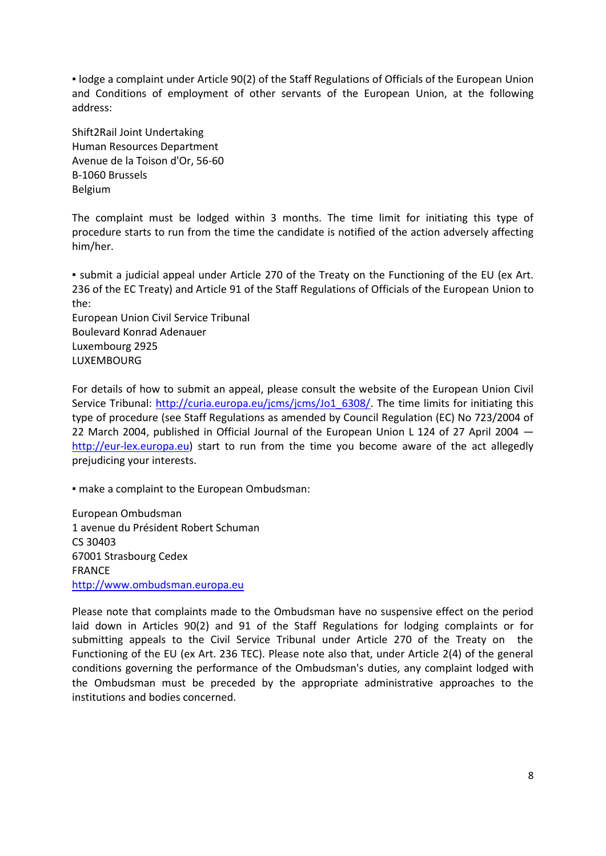▪ lodge a complaint under Article 90(2) of the Staff Regulations of Officials of the European Union and Conditions of employment of other servants of the European Union, at the following address:

Shift2Rail Joint Undertaking Human Resources Department Avenue de la Toison d'Or, 56-60 B-1060 Brussels Belgium

The complaint must be lodged within 3 months. The time limit for initiating this type of procedure starts to run from the time the candidate is notified of the action adversely affecting him/her.

▪ submit a judicial appeal under Article 270 of the Treaty on the Functioning of the EU (ex Art. 236 of the EC Treaty) and Article 91 of the Staff Regulations of Officials of the European Union to the:

European Union Civil Service Tribunal Boulevard Konrad Adenauer Luxembourg 2925 LUXEMBOURG

For details of how to submit an appeal, please consult the website of the European Union Civil Service Tribunal: [http://curia.europa.eu/jcms/jcms/Jo1\\_6308/.](http://curia.europa.eu/jcms/jcms/Jo1_6308/) The time limits for initiating this type of procedure (see Staff Regulations as amended by Council Regulation (EC) No 723/2004 of 22 March 2004, published in Official Journal of the European Union L 124 of 27 April 2004 [http://eur-lex.europa.eu\)](http://eur-lex.europa.eu/) start to run from the time you become aware of the act allegedly prejudicing your interests.

▪ make a complaint to the European Ombudsman:

European Ombudsman 1 avenue du Président Robert Schuman CS 30403 67001 Strasbourg Cedex FRANCE [http://www.ombudsman.europa.eu](http://www.ombudsman.europa.eu/)

Please note that complaints made to the Ombudsman have no suspensive effect on the period laid down in Articles 90(2) and 91 of the Staff Regulations for lodging complaints or for submitting appeals to the Civil Service Tribunal under Article 270 of the Treaty on the Functioning of the EU (ex Art. 236 TEC). Please note also that, under Article 2(4) of the general conditions governing the performance of the Ombudsman's duties, any complaint lodged with the Ombudsman must be preceded by the appropriate administrative approaches to the institutions and bodies concerned.